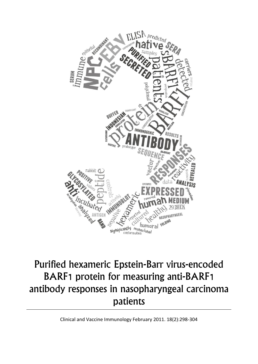

# Purified hexameric Epstein-Barr virus-encoded BARF1 protein for measuring anti-BARF1 antibody responses in nasopharyngeal carcinoma patients

Clinical and Vaccine Immunology February 2011. 18(2):298-304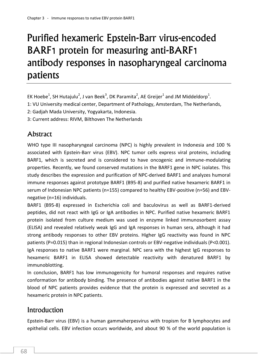# Purified hexameric Epstein-Barr virus-encoded BARF1 protein for measuring anti-BARF1 antibody responses in nasopharyngeal carcinoma patients

EK Hoebe $^1$ , SH Hutajulu $^2$ , J van Beek $^3$ , DK Paramita $^2$ , AE Greijer $^1$  and JM Middeldorp $^1$ .

1: VU University medical center, Department of Pathology, Amsterdam, The Netherlands,

2: Gadjah Mada University, Yogyakarta, Indonesia.

3: Current address: RIVM, Bilthoven The Netherlands

# **Abstract**

WHO type III nasopharyngeal carcinoma (NPC) is highly prevalent in Indonesia and 100 % associated with Epstein-Barr virus (EBV). NPC tumor cells express viral proteins, including BARF1, which is secreted and is considered to have oncogenic and immune-modulating properties. Recently, we found conserved mutations in the BARF1 gene in NPC isolates. This study describes the expression and purification of NPC-derived BARF1 and analyzes humoral immune responses against prototype BARF1 (B95-8) and purified native hexameric BARF1 in serum of Indonesian NPC patients (n=155) compared to healthy EBV-positive (n=56) and EBVnegative (n=16) individuals.

BARF1 (B95-8) expressed in Escherichia coli and baculovirus as well as BARF1-derived peptides, did not react with IgG or IgA antibodies in NPC. Purified native hexameric BARF1 protein isolated from culture medium was used in enzyme linked immunosorbent assay (ELISA) and revealed relatively weak IgG and IgA responses in human sera, although it had strong antibody responses to other EBV proteins. Higher IgG reactivity was found in NPC patients (P=0.015) than in regional Indonesian controls or EBV-negative individuals (P<0.001). IgA responses to native BARF1 were marginal. NPC sera with the highest IgG responses to hexameric BARF1 in ELISA showed detectable reactivity with denatured BARF1 by immunoblotting.

In conclusion, BARF1 has low immunogenicity for humoral responses and requires native conformation for antibody binding. The presence of antibodies against native BARF1 in the blood of NPC patients provides evidence that the protein is expressed and secreted as a hexameric protein in NPC patients.

# Introduction

Epstein-Barr virus (EBV) is a human gammaherpesvirus with tropism for B lymphocytes and epithelial cells. EBV infection occurs worldwide, and about 90 % of the world population is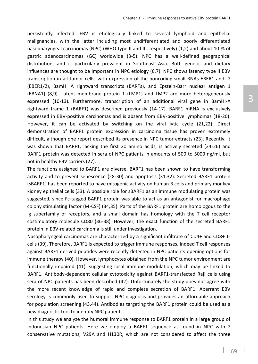persistently infected. EBV is etiologically linked to several lymphoid and epithelial malignancies, with the latter including most undifferentiated and poorly differentiated nasopharyngeal carcinomas (NPC) (WHO type II and III, respectively) (1,2) and about 10 % of gastric adenocarcinomas (GC) worldwide (3-5). NPC has a well-defined geographical distribution, and is particularly prevalent in Southeast Asia. Both genetic and dietary influences are thought to be important in NPC etiology (6,7). NPC shows latency type II EBV transcription in all tumor cells, with expression of the noncoding small RNAs EBER1 and -2 (EBER1/2), BamHI A rightward transcripts (BARTs), and Epstein-Barr nuclear antigen 1 (EBNA1) (8,9). Latent membrane protein 1 (LMP1) and LMP2 are more heterogeneously expressed (10-13). Furthermore, transcription of an additional viral gene in BamHI-A rightward frame 1 (BARF1) was described previously (14-17). BARF1 mRNA is exclusively expressed in EBV-positive carcinomas and is absent from EBV-positive lymphomas (18-20). However, it can be activated by switching on the viral lytic cycle (21,22). Direct demonstration of BARF1 protein expression in carcinoma tissue has proven extremely difficult, although one report described its presence in NPC tumor extracts (23). Recently, it was shown that BARF1, lacking the first 20 amino acids, is actively secreted (24-26) and BARF1 protein was detected in sera of NPC patients in amounts of 500 to 5000 ng/ml, but not in healthy EBV carriers (27).

The functions assigned to BARF1 are diverse. BARF1 has been shown to have transforming activity and to prevent senescence (28-30) and apoptosis (31,32). Secreted BARF1 protein (sBARF1) has been reported to have mitogenic activity on human B cells and primary monkey kidney epithelial cells (33). A possible role for sBARF1 as an immune modulating protein was suggested, since Fc-tagged BARF1 protein was able to act as an antagonist for macrophage colony stimulating factor (M-CSF) (34,35). Parts of the BARF1 protein are homologous to the Ig superfamily of receptors, and a small domain has homology with the T cell receptor costimulatory molecule CD80 (36-38). However, the exact function of the secreted BARF1 protein in EBV-related carcinoma is still under investigation.

Nasopharyngeal carcinomas are characterized by a significant infiltrate of CD4+ and CD8+ Tcells (39). Therefore, BARF1 is expected to trigger immune responses. Indeed T cell responses against BARF1 derived peptides were recently detected in NPC patients opening options for immune therapy (40). However, lymphocytes obtained from the NPC tumor environment are functionally impaired (41), suggesting local immune modulation, which may be linked to BARF1. Antibody-dependent cellular cytotoxicity against BARF1-transfected Raji cells using sera of NPC patients has been described (42). Unfortunately the study does not agree with the more recent knowledge of rapid and complete secretion of BARF1. Aberrant EBV serology is commonly used to support NPC diagnosis and provides an affordable approach for population screening (43,44). Antibodies targeting the BARF1 protein could be used as a new diagnostic tool to identify NPC patients.

In this study we analyze the humoral immune response to BARF1 protein in a large group of Indonesian NPC patients. Here we employ a BARF1 sequence as found in NPC with 2 conservative mutations, V29A and H130R, which are not considered to affect the three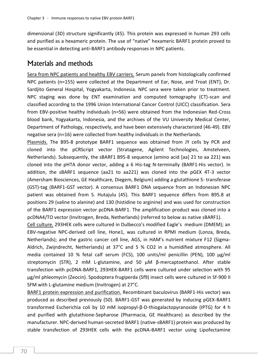dimensional (3D) structure significantly (45). This protein was expressed in human 293 cells and purified as a hexameric protein. The use of "native" hexameric BARF1 protein proved to be essential in detecting anti-BARF1 antibody responses in NPC patients.

## Materials and methods

Sera from NPC patients and healthy EBV carriers. Serum panels from histologically confirmed NPC patients (n=155) were collected at the Department of Ear, Nose, and Troat (ENT), Dr. Sardjito General Hospital, Yogyakarta, Indonesia. NPC sera were taken prior to treatment. NPC staging was done by ENT examination and computed tomography (CT)-scan and classified according to the 1996 Union International Cancer Control (UICC) classification. Sera from EBV-positive healthy individuals (n=56) were obtained from the Indonesian Red-Cross blood bank, Yogyakarta, Indonesia, and the archives of the VU University Medical Center, Department of Pathology, respectively, and have been extensively characterized (46-49). EBV negative sera (n=16) were collected from healthy individuals in the Netherlands.

Plasmids. The B95-8 prototype BARF1 sequence was obtained from JY cells by PCR and cloned into the pCRScript vector (Stratagene, Agilent Technologies, Amstelveen, Netherlands). Subsequently, the sBARF1 B95-8 sequence (amino acid [aa] 21 to aa 221) was cloned into the pHTA donor vector, adding a 6 His-tag N-terminally (BARF1-His vector). In addition, the sBARF1 sequence (aa21 to aa221) was cloned into the pGEX 4T-3 vector (Amersham Biosciences, GE Healthcare, Diegem, Belgium) adding a glutathione S- transferase (GST)-tag (BARF1-GST vector). A consensus BARF1 DNA sequence from an Indonesian NPC patient was obtained from S. Hutajulu (45). This BARF1 sequence differs from B95.8 at positions 29 (valine to alanine) and 130 (histidine to arginine) and was used for construction of the BARF1 expression vector pcDNA-BARF1. The amplification product was cloned into a pcDNA4/TO vector (Invitrogen, Breda, Netherlands) (referred to below as native sBARF1).

Cell culture. 293HEK cells were cultured in Dulbecco's modified Eagle's medium (DMEM); an EBV-negative NPC-derived cell line, Hone1, was cultured in RPMI medium (Lonza, Breda, Netherlands); and the gastric cancer cell line, AGS, in HAM's nutrient mixture F12 (Sigma-Aldrich, Zwijndrecht, Netherlands) at 37°C and 5 % CO2 in a humidified atmosphere. All media contained 10 % fetal calf serum (FCS), 100 units/ml penicillin (PEN), 100  $\mu$ g/ml streptomycin (STR), 2 mM L-glutamine, and 50 µM β-mercaptoethanol. After stable transfection with pcDNA-BARF1, 293HEK-BARF1 cells were cultured under selection with 95 µg/ml phleomycin (Zeocin). Spodoptera frugiperda (Sf9) insect cells were cultured in Sf-900 II SFM with L-glutamine medium (Invitrogen) at 27°C.

BARF1 protein expression and purification. Recombinant baculovirus (BARF1-His vector) was produced as described previously (50). BARF1-GST was generated by inducing pGEX-BARF1 transformed Escherichia coli by 10 mM isopropyl-β-D-thiogalactopyranoside (IPTG) for 4 h and purified with glutathione-Sepharose (Pharmacia, GE Healthcare) as described by the manufacturer. NPC-derived human-secreted BARF1 (native-sBARF1) protein was produced by stable transfection of 293HEK cells with the pcDNA-BARF1 vector using Lipofectamine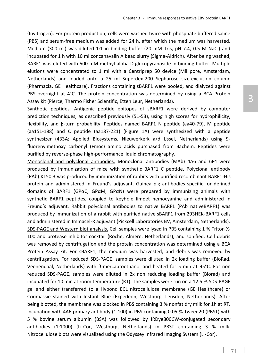(Invitrogen). For protein production, cells were washed twice with phosphate buffered saline (PBS) and serum-free medium was added for 24 h, after which the medium was harvested. Medium (300 ml) was diluted 1:1 in binding buffer (20 mM Tris, pH 7.4, 0.5 M NaCl) and incubated for 1 h with 10 ml concanavalin A bead slurry (Sigma-Aldrich). After being washed, BARF1 was eluted with 500 mM methyl-alpha-D-glucopyranoside in binding buffer. Multiple elutions were concentrated to 1 ml with a Centriprep 50 device (Millipore, Amsterdam, Netherlands) and loaded onto a 25 ml Superdex-200 Sepharose size-exclusion column (Pharmacia, GE Healthcare). Fractions containing sBARF1 were pooled, and dialyzed against PBS overnight at 4°C. The protein concentration was determined by using a BCA Protein Assay kit (Pierce, Thermo Fisher Scientific, Etten Leur, Netherlands).

Synthetic peptides. Antigenic peptide epitopes of sBARF1 were derived by computer prediction techniques, as described previously (51-53), using high scores for hydrophilicity, flexibility, and β-turn probability. Peptides named BARF1 N peptide (aa40-79), M peptide (aa151-188) and C peptide (aa187-221) (Figure 1A) were synthesized with a peptide synthesizer (433A; Applied Biosystems, Nieuwerkerk a/d IJssel, Netherlands) using 9 fluorenylmethoxy carbonyl (Fmoc) amino acids purchased from Bachem. Peptides were purified by reverse-phase high-performance liquid chromatography.

Monoclonal and polyclonal antibodies. Monoclonal antibodies (MAb) 4A6 and 6F4 were produced by immunization of mice with synthetic BARF1 C peptide. Polyclonal antibody (PAb) K150.3 was produced by immunization of rabbits with purified recombinant BARF1-His protein and administered in Freund's adjuvant. Guinea pig antibodies specific for defined domains of BARF1 (GPαC, GPαM, GPαN) were prepared by immunizing animals with synthetic BARF1 peptides, coupled to keyhole limpet hemocyanine and administered in Freund's adjuvant. Rabbit polyclonal antibodies to native BARF1 (PAb nativeBARF1) was produced by immunization of a rabbit with purified native sBARF1 from 293HEK-BARF1 cells and administered in Immacel-R adjuvant (Pickcell Laboratories BV, Amsterdam, Netherlands). SDS-PAGE and Western blot analysis. Cell samples were lysed in PBS containing 1 % Triton X-100 and protease inhibitor cocktail (Roche, Almere, Netherlands), and sonified. Cell debris was removed by centrifugation and the protein concentration was determined using a BCA Protein Assay kit. For sBARF1, the medium was harvested, and debris was removed by centrifugation. For reduced SDS-PAGE, samples were diluted in 2x loading buffer (BioRad, Veenendaal, Netherlands) with β-mercaptoethanol and heated for 5 min at 95°C. For non reduced SDS-PAGE, samples were diluted in 2x non reducing loading buffer (Biorad) and incubated for 10 min at room temperature (RT). The samples were run on a 12.5 % SDS-PAGE gel and either transferred to a Hybond ECL nitrocellulose membrane (GE Healthcare) or Coomassie stained with Instant Blue (Expedeon, Westburg, Leusden, Netherlands). After being blotted, the membrane was blocked in PBS containing 3 % nonfat dry milk for 1h at RT. Incubation with 4A6 primary antibody (1:100) in PBS containing 0.05 % Tween20 (PBST) with 5 % bovine serum albumin (BSA) was followed by IRDye800CW-conjugated secondary antibodies (1:1000) (Li-Cor, Westburg, Netherlands) in PBST containing 3 % milk. Nitrocellulose blots were visualized using the Odyssey Infrared Imaging System (Li-Cor).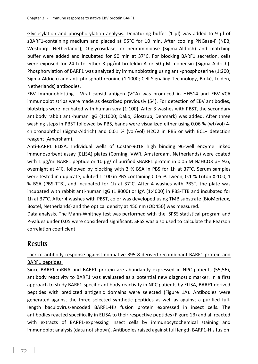Glycosylation and phosphorylation analysis. Denaturing buffer  $(1 \mu l)$  was added to 9  $\mu l$  of sBARF1-containing medium and placed at 95°C for 10 min. After cooling PNGase-F (NEB, Westburg, Netherlands), O-glycosidase, or neuraminidase (Sigma-Aldrich) and matching buffer were added and incubated for 90 min at 37°C. For blocking BARF1 secretion, cells were exposed for 24 h to either 3 µg/ml brefeldin-A or 50 µM monensin (Sigma-Aldrich). Phosphorylation of BARF1 was analyzed by immunoblotting using anti-phosphoserine (1:200; Sigma-Aldrich) and anti-phosphothreonine (1:1000; Cell Signaling Technology, Bioké, Leiden, Netherlands) antibodies.

EBV Immunoblotting. Viral capsid antigen (VCA) was produced in HH514 and EBV-VCA immunoblot strips were made as described previously (54). For detection of EBV antibodies, blotstrips were incubated with human sera (1:100). After 3 washes with PBST, the secondary antibody rabbit anti-human IgG (1:1000; Dako, Glostrup, Denmark) was added. After three washing steps in PBST followed by PBS, bands were visualized either using 0.06 % (wt/vol) 4 chloronaphthol (Sigma-Aldrich) and 0.01 % (vol/vol) H2O2 in PBS or with ECL+ detection reagent (Amersham).

Anti-BARF1 ELISA. Individual wells of Costar-9018 high binding 96-well enzyme linked immunosorbent assay (ELISA) plates (Corning, VWR, Amsterdam, Netherlands) were coated with 1  $\mu$ g/ml BARF1 peptide or 10  $\mu$ g/ml purified sBARF1 protein in 0.05 M NaHCO3 pH 9.6, overnight at 4°C, followed by blocking with 3 % BSA in PBS for 1h at 37°C. Serum samples were tested in duplicate; diluted 1:100 in PBS containing 0.05 % Tween, 0.1 % Triton X-100, 1 % BSA (PBS-TTB), and incubated for 1h at 37°C. After 4 washes with PBST, the plate was incubated with rabbit anti-human IgG (1:8000) or IgA (1:4000) in PBS-TTB and incubated for 1h at 37°C. After 4 washes with PBST, color was developed using TMB substrate (BioMerieux, Boxtel, Netherlands) and the optical density at 450 nm (OD450) was measured.

Data analysis. The Mann-Whitney test was performed with the SPSS statistical program and P-values under 0.05 were considered significant. SPSS was also used to calculate the Pearson correlation coefficient.

### **Results**

### Lack of antibody response against nonnative B95-8-derived recombinant BARF1 protein and BARF1 peptides.

Since BARF1 mRNA and BARF1 protein are abundantly expressed in NPC patients (55,56), antibody reactivity to BARF1 was evaluated as a potential new diagnostic marker. In a first approach to study BARF1-specific antibody reactivity in NPC patients by ELISA, BARF1 derived peptides with predicted antigenic domains were selected (Figure 1A). Antibodies were generated against the three selected synthetic peptides as well as against a purified fulllength baculovirus-encoded BARF1-His fusion protein expressed in insect cells. The antibodies reacted specifically in ELISA to their respective peptides (Figure 1B) and all reacted with extracts of BARF1-expressing insect cells by immunocytochemical staining and immunoblot analysis (data not shown). Antibodies raised against full length BARF1-His fusion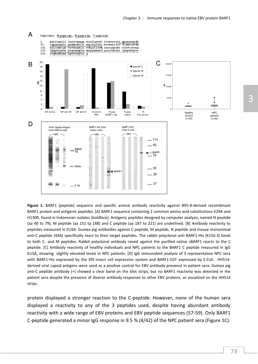

**Figure 1.** BARF1 (peptide) sequence and specific animal antibody reactivity against B95-8-derived recombinant BARF1 protein and antigenic peptides. [A] BARF1 sequence containing 2 common amino acid substitutions V29A and H130R, found in Indonesian isolates (boldface). Antigenic peptides designed by computer analysis, named N peptide (aa 40 to 79), M peptide (aa 151 tp 188) and C peptide (aa 187 to 221) are underlined. [B] Antibody reactivity to peptides measured in ELISA. Guinea pig antibodies against C peptide, M peptide, N peptide and mouse monoclonal anti-C peptide (4A6) specifically react to their target peptides. The rabbit polyclonal anti-BARF1-His (K150.3) binds to both C- and M peptides. Rabbit polyclonal antibody raised against the purified native sBARF1 reacts to the C peptide. [C] Antibody reactivity of healthy individuals and NPC patients to the BARF1 C peptide measured in IgG ELISA, showing slightly elevated levels in NPC patients. [D] IgG immunoblot analysis of 3 representative NPC sera with BARF1-His expressed by the Sf9 insect cell expression system and BARF1-GST expressed by E.Coli. HH514 derived viral capsid antigens were used as a positive control for EBV antibody presence in patient sera. Guinea pig anti-C peptide antibody [+] showed a clear band on the blot strips, but no BARF1 reactivity was detected in the patient sera despite the presence of diverse antibody responses to other EBV proteins, as visualized on the HH514 strips.

protein displayed a stronger reaction to the C-peptide. However, none of the human sera displayed a reactivity to any of the 3 peptides used, despite having abundant antibody reactivity with a wide range of EBV proteins and EBV peptide sequences (57-59). Only BARF1 C-peptide generated a minor IgG response in 9.5 % (4/42) of the NPC patient sera (Figure 1C).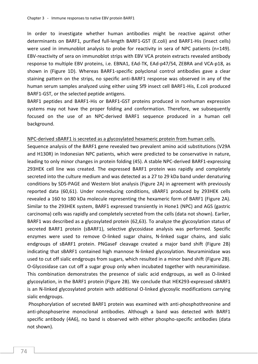In order to investigate whether human antibodies might be reactive against other determinants on BARF1, purified full-length BARF1-GST (E.coli) and BARF1-His (insect cells) were used in immunoblot analysis to probe for reactivity in sera of NPC patients (n=149). EBV-reactivity of sera on immunoblot strips with EBV VCA protein extracts revealed antibody response to multiple EBV proteins, i.e. EBNA1, EAd-TK, EAd-p47/54, ZEBRA and VCA-p18, as shown in (Figure 1D). Whereas BARF1-specific polyclonal control antibodies gave a clear staining pattern on the strips, no specific anti-BARF1 response was observed in any of the human serum samples analyzed using either using Sf9 insect cell BARF1-His, E.coli produced BARF1-GST, or the selected peptide antigens.

BARF1 peptides and BARF1-His or BARF1-GST proteins produced in nonhuman expression systems may not have the proper folding and conformation. Therefore, we subsequently focused on the use of an NPC-derived BARF1 sequence produced in a human cell background.

#### NPC-derived sBARF1 is secreted as a glycosylated hexameric protein from human cells.

Sequence analysis of the BARF1 gene revealed two prevalent amino acid substitutions (V29A and H130R) in Indonesian NPC patients, which were predicted to be conservative in nature, leading to only minor changes in protein folding (45). A stable NPC-derived BARF1-expressing 293HEK cell line was created. The expressed BARF1 protein was rapidly and completely secreted into the culture medium and was detected as a 27 to 29 kDa band under denaturing conditions by SDS-PAGE and Western blot analysis (Figure 2A) in agreement with previously reported data (60,61). Under nonreducing conditions, sBARF1 produced by 293HEK cells revealed a 160 to 180 kDa molecule representing the hexameric form of BARF1 (Figure 2A). Similar to the 293HEK system, BARF1 expressed transiently in Hone1 (NPC) and AGS (gastric carcinoma) cells was rapidly and completely secreted from the cells (data not shown). Earlier, BARF1 was described as a glycosylated protein (62,63). To analyze the glycosylation status of secreted BARF1 protein (sBARF1), selective glycosidase analysis was performed. Specific enzymes were used to remove O-linked sugar chains, N-linked sugar chains, and sialic endgroups of sBARF1 protein. PNGaseF cleavage created a major band shift (Figure 2B) indicating that sBARF1 contained high mannose N-linked glycosylation. Neuraminidase was used to cut off sialic endgroups from sugars, which resulted in a minor band shift (Figure 2B). O-Glycosidase can cut off a sugar group only when incubated together with neuraminidase. This combination demonstrates the presence of sialic acid endgroups, as well as O-linked glycosylation, in the BARF1 protein (Figure 2B). We conclude that HEK293-expressed sBARF1 is an N-linked glycosylated protein with additional O-linked glycosylic modifications carrying sialic endgroups.

Phosphorylation of secreted BARF1 protein was examined with anti-phosphothreonine and anti-phosphoserine monoclonal antibodies. Although a band was detected with BARF1 specific antibody (4A6), no band is observed with either phospho-specific antibodies (data not shown).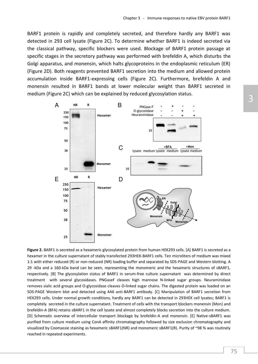BARF1 protein is rapidly and completely secreted, and therefore hardly any BARF1 was detected in 293 cell lysate (Figure 2C). To determine whether BARF1 is indeed secreted via the classical pathway, specific blockers were used. Blockage of BARF1 protein passage at specific stages in the secretory pathway was performed with brefeldin A, which disturbs the Golgi apparatus, and monensin, which halts glycoproteins in the endoplasmic reticulum (ER) (Figure 2D). Both reagents prevented BARF1 secretion into the medium and allowed protein accumulation inside BARF1-expressing cells (Figure 2C). Furthermore, brefeldin A and monensin resulted in BARF1 bands at lower molecular weight than BARF1 secreted in medium (Figure 2C) which can be explained by reduced glycosylation status.



Figure 2. BARF1 is secreted as a hexameric glycosylated protein from human HEK293 cells. [A] BARF1 is secreted as a hexamer in the culture supernatant of stably transfected 293HEK-BARF1 cells. Ten microliters of medium was mixed 1:1 with either reduced (R) or non-reduced (NR) loading buffer and separated by SDS-PAGE and Western blotting. A 29 -kDa and a 160-kDa band can be seen, representing the monomeric and the hexameric structures of sBARF1, respectively. [B] The glycosylation status of BARF1 in serum-free culture supernatant was determined by direct treatment with several glycosidases. PNGaseF cleaves high mannose N-linked sugar groups. Neuraminidase removes sialic acid groups and O-glycosidase cleaves O-linked sugar chains. The digested protein was loaded on an SDS-PAGE Western blot and detected using 4A6 anti-BARF1 antibody. [C] Manipulation of BARF1 secretion from HEK293 cells. Under normal growth conditions, hardly any BARF1 can be detected in 293HEK cell lysates; BARF1 is completely secreted in the culture supernatant. Treatment of cells with the transport blockers monensin (Mon) and brefeldin-A (BFA) retains sBARF1 in the cell lysate and almost completely blocks secretion into the culture medium. [D] Schematic overview of intercellular transport blockage by brefeldin-A and monensin. [E] Native-sBARF1 was purified from culture medium using ConA affinity chromatography followed by size exclusion chromatography and visualized by Coomassie staining as hexameric sBARF1(NR) and monomeric sBARF1(R). Purity of ~98 % was routinely reached in repeated experiments.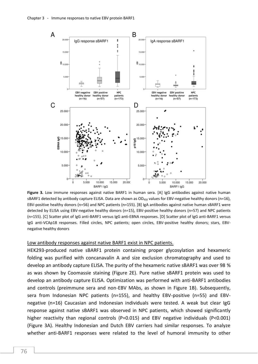

**Figure 3.** Low immune responses against native BARF1 in human sera. [A] IgG antibodies against native human sBARF1 detected by antibody capture ELISA. Data are shown as  $OD_{450}$  values for EBV-negative healthy donors (n=16), EBV-positive healthy donors (n=56) and NPC patients (n=155). [B] IgA antibodies against native human sBARF1 were detected by ELISA using EBV-negative healthy donors (n=15), EBV-positive healthy donors (n=57) and NPC patients (n=155). [C] Scatter plot of IgG anti-BARF1 versus IgG anti-EBNA responses. [D] Scatter plot of IgG anti-BARF1 versus IgG anti-VCAp18 responses. Filled circles, NPC patients; open circles, EBV-positive healthy donors; stars, EBVnegative healthy donors

#### Low antibody responses against native BARF1 exist in NPC patients.

HEK293-produced native sBARF1 protein containing proper glycosylation and hexameric folding was purified with concanavalin A and size exclusion chromatography and used to develop an antibody capture ELISA. The purity of the hexameric native sBARF1 was over 98 % as was shown by Coomassie staining (Figure 2E). Pure native sBARF1 protein was used to develop an antibody capture ELISA. Optimization was performed with anti-BARF1 antibodies and controls (preimmune sera and non-EBV MAbs, as shown in Figure 1B). Subsequently, sera from Indonesian NPC patients (n=155), and healthy EBV-positive (n=55) and EBVnegative (n=16) Caucasian and Indonesian individuals were tested. A weak but clear IgG response against native sBARF1 was observed in NPC patients, which showed significantly higher reactivity than regional controls (P=0.015) and EBV negative individuals (P<0.001) (Figure 3A). Healthy Indonesian and Dutch EBV carriers had similar responses. To analyze whether anti-BARF1 responses were related to the level of humoral immunity to other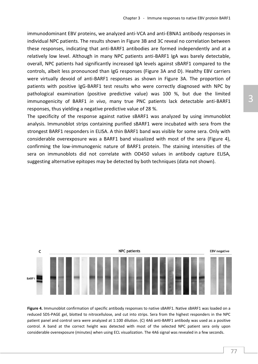immunodominant EBV proteins, we analyzed anti-VCA and anti-EBNA1 antibody responses in individual NPC patients. The results shown in Figure 3B and 3C reveal no correlation between these responses, indicating that anti-BARF1 antibodies are formed independently and at a relatively low level. Although in many NPC patients anti-BARF1 IgA was barely detectable, overall, NPC patients had significantly increased IgA levels against sBARF1 compared to the controls, albeit less pronounced than IgG responses (Figure 3A and D). Healthy EBV carriers were virtually devoid of anti-BARF1 responses as shown in Figure 3A. The proportion of patients with positive IgG-BARF1 test results who were correctly diagnosed with NPC by pathological examination (positive predictive value) was 100 %, but due the limited immunogenicity of BARF1 *in vivo*, many true PNC patients lack detectable anti-BARF1 responses, thus yielding a negative predictive value of 28 %.

The specificity of the response against native sBARF1 was analyzed by using immunoblot analysis. Immunoblot strips containing purified sBARF1 were incubated with sera from the strongest BARF1 responders in ELISA. A thin BARF1 band was visible for some sera. Only with considerable overexposure was a BARF1 band visualized with most of the sera (Figure 4), confirming the low-immunogenic nature of BARF1 protein. The staining intensities of the sera on immunoblots did not correlate with OD450 values in antibody capture ELISA, suggesting alternative epitopes may be detected by both techniques (data not shown).



**Figure 4.** Immunoblot confirmation of specific antibody responses to native sBARF1. Native sBARF1 was loaded on a reduced SDS-PAGE gel, blotted to nitrocellulose, and cut into strips. Sera from the highest responders in the NPC patient panel and control sera were analyzed at 1:100 dilution. (C) 4A6 anti-BARF1 antibody was used as a positive control. A band at the correct height was detected with most of the selected NPC patient sera only upon considerable overexposure (minutes) when using ECL visualization. The 4A6 signal was revealed in a few seconds.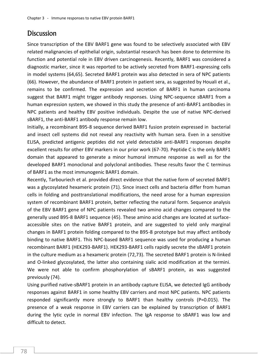### **Discussion**

Since transcription of the EBV BARF1 gene was found to be selectively associated with EBV related malignancies of epithelial origin, substantial research has been done to determine its function and potential role in EBV driven carcinogenesis. Recently, BARF1 was considered a diagnostic marker, since it was reported to be actively secreted from BARF1-expressing cells in model systems (64,65). Secreted BARF1 protein was also detected in sera of NPC patients (66). However, the abundance of BARF1 protein in patient sera, as suggested by Houali et al., remains to be confirmed. The expression and secretion of BARF1 in human carcinoma suggest that BARF1 might trigger antibody responses. Using NPC-sequence sBARF1 from a human expression system, we showed in this study the presence of anti-BARF1 antibodies in NPC patients and healthy EBV positive individuals. Despite the use of native NPC-derived sBARF1, the anti-BARF1 antibody response remain low.

Initially, a recombinant B95-8 sequence derived BARF1 fusion protein expressed in bacterial and insect cell systems did not reveal any reactivity with human sera. Even in a sensitive ELISA, predicted antigenic peptides did not yield detectable anti-BARF1 responses despite excellent results for other EBV markers in our prior work (67-70). Peptide C is the only BARF1 domain that appeared to generate a minor humoral immune response as well as for the developed BARF1 monoclonal and polyclonal antibodies. These results favor the C terminus of BARF1 as the most immunogenic BARF1 domain.

Recently, Tarbouriech et al. provided direct evidence that the native form of secreted BARF1 was a glycosylated hexameric protein (71). Since insect cells and bacteria differ from human cells in folding and posttranslational modifications, the need arose for a human expression system of recombinant BARF1 protein, better reflecting the natural form. Sequence analysis of the EBV BARF1 gene of NPC patients revealed two amino acid changes compared to the generally used B95-8 BARF1 sequence (45). These amino acid changes are located at surfaceaccessible sites on the native BARF1 protein, and are suggested to yield only marginal changes in BARF1 protein folding compared to the B95-8 prototype but may affect antibody binding to native BARF1. This NPC-based BARF1 sequence was used for producing a human recombinant BARF1 (HEK293-BARF1). HEK293-BARF1 cells rapidly secrete the sBARF1 protein in the culture medium as a hexameric protein (72,73). The secreted BARF1 protein is N-linked and O-linked glycosylated, the latter also containing sialic acid modification at the termini. We were not able to confirm phosphorylation of sBARF1 protein, as was suggested previously (74).

Using purified native-sBARF1 protein in an antibody capture ELISA, we detected IgG antibody responses against BARF1 in some healthy EBV carriers and most NPC patients. NPC patients responded significantly more strongly to BARF1 than healthy controls (P=0.015). The presence of a weak response in EBV carriers can be explained by transcription of BARF1 during the lytic cycle in normal EBV infection. The IgA response to sBARF1 was low and difficult to detect.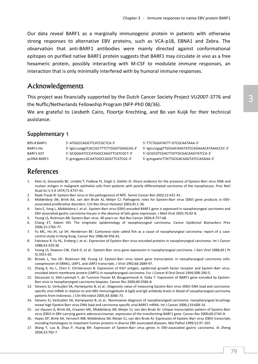Our data reveal BARF1 as a marginally immunogenic protein in patients with otherwise strong responses to alternative EBV proteins, such as VCA-p18, EBNA1 and Zebra. The observation that anti-BARF1 antibodies were mainly directed against conformational epitopes on purified native BARF1 protein suggests that BARF1 may circulate *in vivo* as a free hexameric protein, possibly interacting with M-CSF to modulate immune responses, an interaction that is only minimally interfered with by humoral immune responses.

### Acknowledgements

This project was financially supported by the Dutch Cancer Society Project VU2007-3776 and the Nuffic/Netherlands Fellowship Program (NFP-PhD 08/36).

We are grateful to Liesbeth Cairo, Floortje Krechting, and Bo van Kuijk for their technical assistance.

### Supplementary 1

| <b>B95-8 BARF1</b> | 5'-ATGGCCAGGTTCATCGCTCA-3'              | 5'-TTCTGGA   |
|--------------------|-----------------------------------------|--------------|
| BARF1-His          | 5'-tgtcccatggTCACCGCTTTCTTGGGTGAGCAG-3' | 5'-tgtcctcga |
| BARF1-GST          | 5'-GCGGGATCCCATGGCCAGGTTCATCGCT-3'      | 5'-GCGCGT(   |
| pcDNA-BARF1        | 5'-gctcggatccGCAATGGCCAGGTTCATCGC-3'    | 5'-gctcgaatt |

TACTT GTCGCAATAAA-3' gTTGCGACAAGTATCCAGAAACATAAACCCC-3' CGACTTATTGCGACAAGTATCCA-3' cTTATTGCGACAAGTATCCAGAAA-3'

## References

- 1. Klein G, Giovanella BC, Lindahl T, Fialkow PJ, Singh S, Stehlin JS: Direct evidence for the presence of Epstein-Barr virus DNA and nuclear antigen in malignant epithelial cells from patients with poorly differentiated carcinoma of the nasopharynx. Proc Natl Acad Sci U S A 1974;71:4737-41.
- 2. Raab-Traub N: Epstein-Barr virus in the pathogenesis of NPC. Semin Cancer Biol 2002;12:431-41.
- 3. Middeldorp JM, Brink AA, van den Brule AJ, Meijer CJ: Pathogenic roles for Epstein-Barr virus (EBV) gene products in EBVassociated proliferative disorders. Crit Rev Oncol Hematol 2003;45:1-36.
- 4. Seto E, Yang L, Middeldorp J, et al.: Epstein-Barr virus (EBV)-encoded BARF1 gene is expressed in nasopharyngeal carcinoma and EBV-associated gastric carcinoma tissues in the absence of lytic gene expression. J Med Virol 2005;76:82-8.
- 5. Young LS, Rickinson AB: Epstein-Barr virus: 40 years on. Nat Rev Cancer 2004;4:757-68.
- 6. Chang ET, Adami HO: The enigmatic epidemiology of nasopharyngeal carcinoma. Cancer Epidemiol Biomarkers Prev 2006;15:1765-77.
- 7. Yu MC, Ho JH, Lai SH, Henderson BE: Cantonese-style salted fish as a cause of nasopharyngeal carcinoma: report of a casecontrol study in Hong Kong. Cancer Res 1986;46:956-61.
- 8. Fahraeus R, Fu HL, Ernberg I, et al.: Expression of Epstein-Barr virus-encoded proteins in nasopharyngeal carcinoma. Int J Cancer 1988;42:329-38.
- 9. Young LS, Dawson CW, Clark D, et al.: Epstein-Barr virus gene expression in nasopharyngeal carcinoma. J Gen Virol 1988;69 ( Pt 5):1051-65.
- 10. Brooks L, Yao QY, Rickinson AB, Young LS: Epstein-Barr virus latent gene transcription in nasopharyngeal carcinoma cells: coexpression of EBNA1, LMP1, and LMP2 transcripts. J Virol 1992;66:2689-97.
- 11. Zheng X, Hu L, Chen F, Christensson B: Expression of Ki67 antigen, epidermal growth factor receptor and Epstein-Barr virusencoded latent membrane protein (LMP1) in nasopharyngeal carcinoma. Eur J Cancer B Oral Oncol 1994;30B:290-5.
- 12. Decaussin G, Sbih-Lammali F, de Turenne-Tessier M, Bouguermouh A, Ooka T: Expression of BARF1 gene encoded by Epstein-Barr virus in nasopharyngeal carcinoma biopsies. Cancer Res 2000;60:5584-8.
- 13. Stevens SJ, Verkuijlen SA, Hariwiyanto B, et al.: Diagnostic value of measuring Epstein-Barr virus (EBV) DNA load and carcinomaspecific viral mRNA in relation to anti-EBV immunoglobulin A (IgA) and IgG antibody levels in blood of nasopharyngeal carcinoma patients from Indonesia. J Clin Microbiol 2005;43:3066-73.
- 14. Stevens SJ, Verkuijlen SA, Hariwiyanto B, et al.: Noninvasive diagnosis of nasopharyngeal carcinoma: nasopharyngeal brushings reveal high Epstein-Barr virus DNA load and carcinoma-specific viral BARF1 mRNA. Int J Cancer 2006;119:608-14.
- 15. zur Hausen A, Brink AA, Craanen ME, Middeldorp JM, Meijer CJ, van den Brule AJ: Unique transcription pattern of Epstein-Barr virus (EBV) in EBV-carrying gastric adenocarcinomas: expression of the transforming BARF1 gene. Cancer Res 2000;60:2745-8.
- 16. Hayes DP, Brink AA, Vervoort MB, Middeldorp JM, Meijer CJ, van den Brule AJ: Expression of Epstein-Barr virus (EBV) transcripts encoding homologues to important human proteins in diverse EBV associated diseases. Mol Pathol 1999;52:97-103.
- 17. Wang Y, Luo B, Zhao P, Huang BH: Expression of Epstein-Barr virus genes in EBV-associated gastric carcinoma. Ai Zheng 2004;23:782-7.